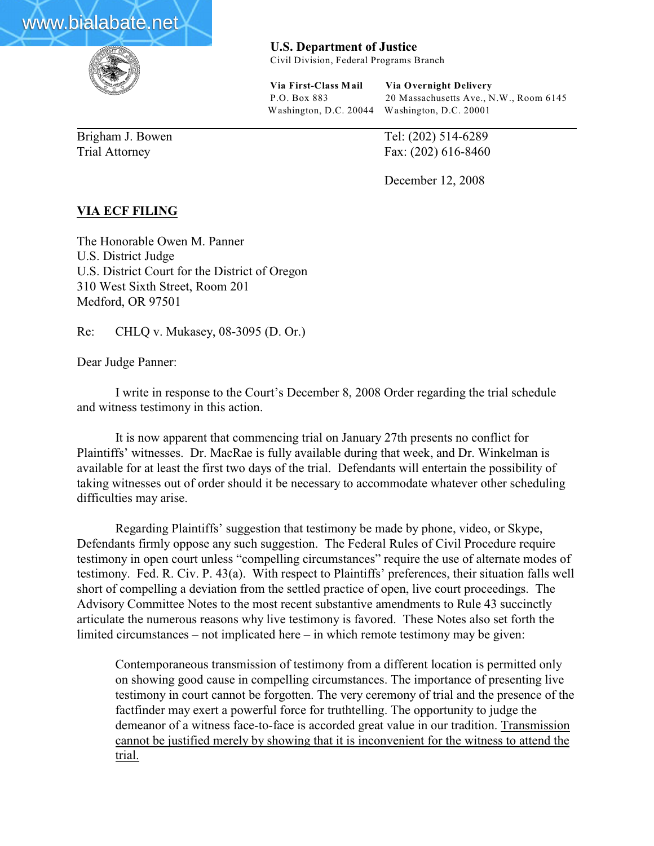



**U.S. Department of Justice**

Civil Division, Federal Programs Branch

**Via First-Class Mail Via Overnight Delivery** P.O. Box 883 20 Massachusetts Ave., N.W., Room 6145 Washington, D.C. 20044 Washington, D.C. 20001

Brigham J. Bowen Tel: (202) 514-6289 Trial Attorney Fax: (202) 616-8460

December 12, 2008

## **VIA ECF FILING**

The Honorable Owen M. Panner U.S. District Judge U.S. District Court for the District of Oregon 310 West Sixth Street, Room 201 Medford, OR 97501

Re: CHLQ v. Mukasey, 08-3095 (D. Or.)

Dear Judge Panner:

I write in response to the Court's December 8, 2008 Order regarding the trial schedule and witness testimony in this action.

It is now apparent that commencing trial on January 27th presents no conflict for Plaintiffs' witnesses. Dr. MacRae is fully available during that week, and Dr. Winkelman is available for at least the first two days of the trial. Defendants will entertain the possibility of taking witnesses out of order should it be necessary to accommodate whatever other scheduling difficulties may arise.

Regarding Plaintiffs' suggestion that testimony be made by phone, video, or Skype, Defendants firmly oppose any such suggestion. The Federal Rules of Civil Procedure require testimony in open court unless "compelling circumstances" require the use of alternate modes of testimony. Fed. R. Civ. P. 43(a). With respect to Plaintiffs' preferences, their situation falls well short of compelling a deviation from the settled practice of open, live court proceedings. The Advisory Committee Notes to the most recent substantive amendments to Rule 43 succinctly articulate the numerous reasons why live testimony is favored. These Notes also set forth the limited circumstances – not implicated here – in which remote testimony may be given:

Contemporaneous transmission of testimony from a different location is permitted only on showing good cause in compelling circumstances. The importance of presenting live testimony in court cannot be forgotten. The very ceremony of trial and the presence of the factfinder may exert a powerful force for truthtelling. The opportunity to judge the demeanor of a witness face-to-face is accorded great value in our tradition. Transmission cannot be justified merely by showing that it is inconvenient for the witness to attend the trial.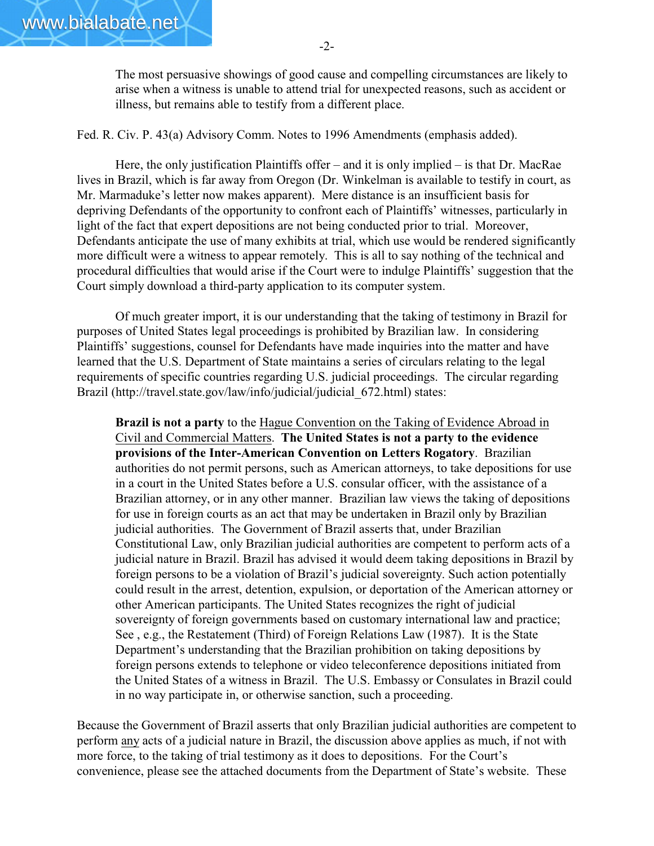The most persuasive showings of good cause and compelling circumstances are likely to arise when a witness is unable to attend trial for unexpected reasons, such as accident or illness, but remains able to testify from a different place.

Fed. R. Civ. P. 43(a) Advisory Comm. Notes to 1996 Amendments (emphasis added).

Here, the only justification Plaintiffs offer – and it is only implied – is that Dr. MacRae lives in Brazil, which is far away from Oregon (Dr. Winkelman is available to testify in court, as Mr. Marmaduke's letter now makes apparent). Mere distance is an insufficient basis for depriving Defendants of the opportunity to confront each of Plaintiffs' witnesses, particularly in light of the fact that expert depositions are not being conducted prior to trial. Moreover, Defendants anticipate the use of many exhibits at trial, which use would be rendered significantly more difficult were a witness to appear remotely. This is all to say nothing of the technical and procedural difficulties that would arise if the Court were to indulge Plaintiffs' suggestion that the Court simply download a third-party application to its computer system.

Of much greater import, it is our understanding that the taking of testimony in Brazil for purposes of United States legal proceedings is prohibited by Brazilian law. In considering Plaintiffs' suggestions, counsel for Defendants have made inquiries into the matter and have learned that the U.S. Department of State maintains a series of circulars relating to the legal requirements of specific countries regarding U.S. judicial proceedings. The circular regarding Brazil (http://travel.state.gov/law/info/judicial/judicial 672.html) states:

**Brazil is not a party** to the Hague Convention on the Taking of Evidence Abroad in Civil and Commercial Matters. **The United States is not a party to the evidence provisions of the Inter-American Convention on Letters Rogatory**. Brazilian authorities do not permit persons, such as American attorneys, to take depositions for use in a court in the United States before a U.S. consular officer, with the assistance of a Brazilian attorney, or in any other manner. Brazilian law views the taking of depositions for use in foreign courts as an act that may be undertaken in Brazil only by Brazilian judicial authorities. The Government of Brazil asserts that, under Brazilian Constitutional Law, only Brazilian judicial authorities are competent to perform acts of a judicial nature in Brazil. Brazil has advised it would deem taking depositions in Brazil by foreign persons to be a violation of Brazil's judicial sovereignty. Such action potentially could result in the arrest, detention, expulsion, or deportation of the American attorney or other American participants. The United States recognizes the right of judicial sovereignty of foreign governments based on customary international law and practice; See , e.g., the Restatement (Third) of Foreign Relations Law (1987). It is the State Department's understanding that the Brazilian prohibition on taking depositions by foreign persons extends to telephone or video teleconference depositions initiated from the United States of a witness in Brazil. The U.S. Embassy or Consulates in Brazil could in no way participate in, or otherwise sanction, such a proceeding.

Because the Government of Brazil asserts that only Brazilian judicial authorities are competent to perform any acts of a judicial nature in Brazil, the discussion above applies as much, if not with more force, to the taking of trial testimony as it does to depositions. For the Court's convenience, please see the attached documents from the Department of State's website. These